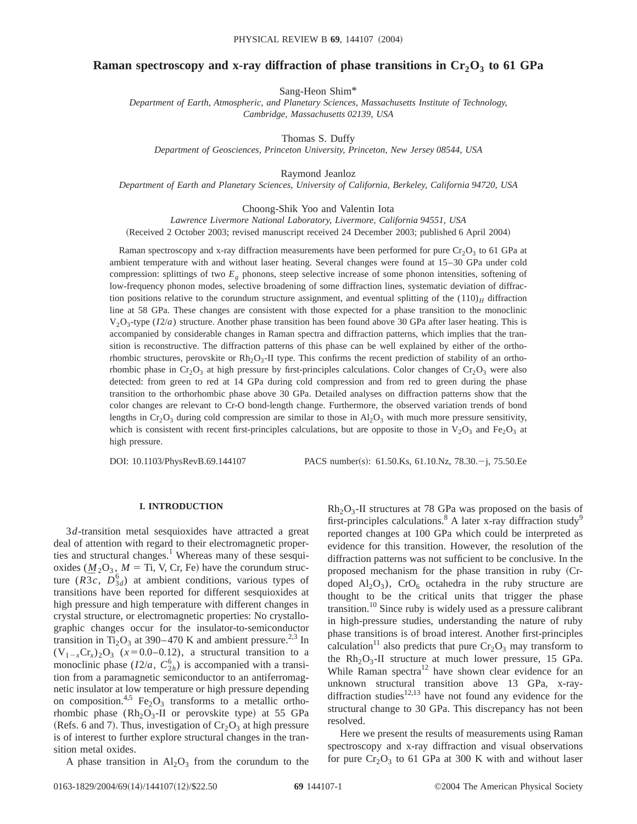## **Raman spectroscopy and x-ray diffraction of phase transitions in**  $Cr_2O_3$  **to 61 GPa**

Sang-Heon Shim\*

*Department of Earth, Atmospheric, and Planetary Sciences, Massachusetts Institute of Technology, Cambridge, Massachusetts 02139, USA*

Thomas S. Duffy

*Department of Geosciences, Princeton University, Princeton, New Jersey 08544, USA*

Raymond Jeanloz

*Department of Earth and Planetary Sciences, University of California, Berkeley, California 94720, USA*

#### Choong-Shik Yoo and Valentin Iota

*Lawrence Livermore National Laboratory, Livermore, California 94551, USA*

(Received 2 October 2003; revised manuscript received 24 December 2003; published 6 April 2004)

Raman spectroscopy and x-ray diffraction measurements have been performed for pure  $Cr_2O_3$  to 61 GPa at ambient temperature with and without laser heating. Several changes were found at 15–30 GPa under cold compression: splittings of two *Eg* phonons, steep selective increase of some phonon intensities, softening of low-frequency phonon modes, selective broadening of some diffraction lines, systematic deviation of diffraction positions relative to the corundum structure assignment, and eventual splitting of the  $(110)<sub>H</sub>$  diffraction line at 58 GPa. These changes are consistent with those expected for a phase transition to the monoclinic  $V_2O_3$ -type ( $I2/a$ ) structure. Another phase transition has been found above 30 GPa after laser heating. This is accompanied by considerable changes in Raman spectra and diffraction patterns, which implies that the transition is reconstructive. The diffraction patterns of this phase can be well explained by either of the orthorhombic structures, perovskite or  $Rh_2O_3$ -II type. This confirms the recent prediction of stability of an orthorhombic phase in Cr<sub>2</sub>O<sub>3</sub> at high pressure by first-principles calculations. Color changes of Cr<sub>2</sub>O<sub>3</sub> were also detected: from green to red at 14 GPa during cold compression and from red to green during the phase transition to the orthorhombic phase above 30 GPa. Detailed analyses on diffraction patterns show that the color changes are relevant to Cr-O bond-length change. Furthermore, the observed variation trends of bond lengths in  $Cr_2O_3$  during cold compression are similar to those in  $Al_2O_3$  with much more pressure sensitivity, which is consistent with recent first-principles calculations, but are opposite to those in  $V_2O_3$  and Fe<sub>2</sub>O<sub>3</sub> at high pressure.

DOI: 10.1103/PhysRevB.69.144107 PACS number(s): 61.50.Ks, 61.10.Nz, 78.30. - j, 75.50.Ee

#### **I. INTRODUCTION**

3*d*-transition metal sesquioxides have attracted a great deal of attention with regard to their electromagnetic properties and structural changes.<sup>1</sup> Whereas many of these sesquioxides ( $M_2O_3$ ,  $M =$  Ti, V, Cr, Fe) have the corundum structure  $(R\overline{3}c, D_{3d}^6)$  at ambient conditions, various types of transitions have been reported for different sesquioxides at high pressure and high temperature with different changes in crystal structure, or electromagnetic properties: No crystallographic changes occur for the insulator-to-semiconductor transition in Ti<sub>2</sub>O<sub>3</sub> at 390–470 K and ambient pressure.<sup>2,3</sup> In  $(V_{1-x}Cr_{x})_{2}O_{3}$  ( $x=0.0-0.12$ ), a structural transition to a monoclinic phase  $(I2/a, C_{2h}^6)$  is accompanied with a transition from a paramagnetic semiconductor to an antiferromagnetic insulator at low temperature or high pressure depending on composition.<sup>4,5</sup> Fe<sub>2</sub>O<sub>3</sub> transforms to a metallic orthorhombic phase  $(Rh_2O_3-II)$  or perovskite type) at 55 GPa (Refs. 6 and 7). Thus, investigation of  $Cr_2O_3$  at high pressure is of interest to further explore structural changes in the transition metal oxides.

A phase transition in  $\text{Al}_2\text{O}_3$  from the corundum to the

 $Rh<sub>2</sub>O<sub>3</sub>$ -II structures at 78 GPa was proposed on the basis of first-principles calculations.<sup>8</sup> A later x-ray diffraction study<sup>9</sup> reported changes at 100 GPa which could be interpreted as evidence for this transition. However, the resolution of the diffraction patterns was not sufficient to be conclusive. In the proposed mechanism for the phase transition in ruby (Crdoped  $\text{Al}_2\text{O}_3$ ),  $\text{CrO}_6$  octahedra in the ruby structure are thought to be the critical units that trigger the phase transition.<sup>10</sup> Since ruby is widely used as a pressure calibrant in high-pressure studies, understanding the nature of ruby phase transitions is of broad interest. Another first-principles calculation<sup>11</sup> also predicts that pure  $Cr_2O_3$  may transform to the  $Rh<sub>2</sub>O<sub>3</sub>$ -II structure at much lower pressure, 15 GPa. While Raman spectra $12$  have shown clear evidence for an unknown structural transition above 13 GPa, x-raydiffraction studies $12,13$  have not found any evidence for the structural change to 30 GPa. This discrepancy has not been resolved.

Here we present the results of measurements using Raman spectroscopy and x-ray diffraction and visual observations for pure  $Cr_2O_3$  to 61 GPa at 300 K with and without laser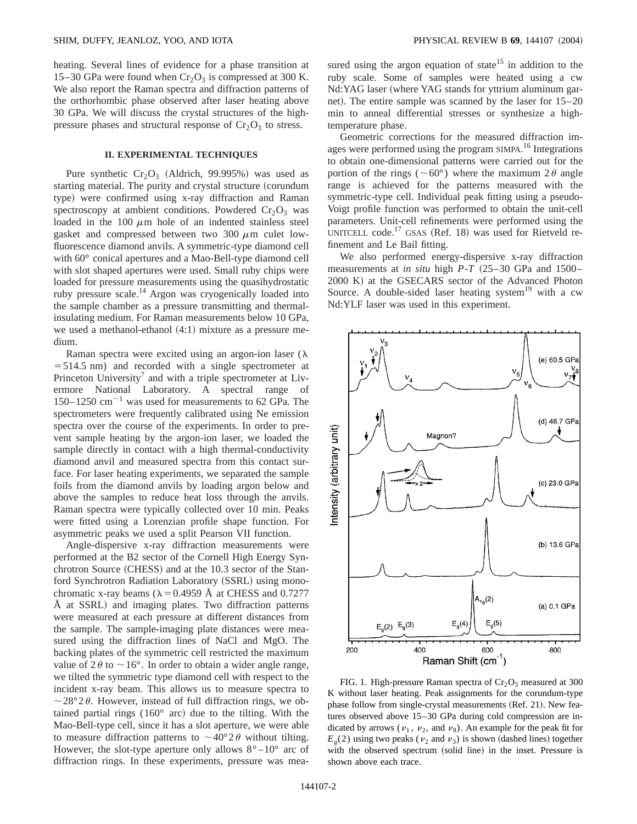heating. Several lines of evidence for a phase transition at 15–30 GPa were found when  $Cr_2O_3$  is compressed at 300 K. We also report the Raman spectra and diffraction patterns of the orthorhombic phase observed after laser heating above 30 GPa. We will discuss the crystal structures of the highpressure phases and structural response of  $Cr_2O_3$  to stress.

# **II. EXPERIMENTAL TECHNIQUES**

Pure synthetic  $Cr_2O_3$  (Aldrich, 99.995%) was used as starting material. The purity and crystal structure (corundum type) were confirmed using x-ray diffraction and Raman spectroscopy at ambient conditions. Powdered  $Cr_2O_3$  was loaded in the 100  $\mu$ m hole of an indented stainless steel gasket and compressed between two 300  $\mu$ m culet lowfluorescence diamond anvils. A symmetric-type diamond cell with 60° conical apertures and a Mao-Bell-type diamond cell with slot shaped apertures were used. Small ruby chips were loaded for pressure measurements using the quasihydrostatic ruby pressure scale.14 Argon was cryogenically loaded into the sample chamber as a pressure transmitting and thermalinsulating medium. For Raman measurements below 10 GPa, we used a methanol-ethanol  $(4:1)$  mixture as a pressure medium.

Raman spectra were excited using an argon-ion laser ( $\lambda$ )  $=$  514.5 nm) and recorded with a single spectrometer at Princeton University<sup>7</sup> and with a triple spectrometer at Livermore National Laboratory. A spectral range of  $150-1250$  cm<sup>-1</sup> was used for measurements to 62 GPa. The spectrometers were frequently calibrated using Ne emission spectra over the course of the experiments. In order to prevent sample heating by the argon-ion laser, we loaded the sample directly in contact with a high thermal-conductivity diamond anvil and measured spectra from this contact surface. For laser heating experiments, we separated the sample foils from the diamond anvils by loading argon below and above the samples to reduce heat loss through the anvils. Raman spectra were typically collected over 10 min. Peaks were fitted using a Lorenzian profile shape function. For asymmetric peaks we used a split Pearson VII function.

Angle-dispersive x-ray diffraction measurements were performed at the B2 sector of the Cornell High Energy Synchrotron Source (CHESS) and at the 10.3 sector of the Stanford Synchrotron Radiation Laboratory (SSRL) using monochromatic x-ray beams ( $\lambda$ =0.4959 Å at CHESS and 0.7277 Å at SSRL) and imaging plates. Two diffraction patterns were measured at each pressure at different distances from the sample. The sample-imaging plate distances were measured using the diffraction lines of NaCl and MgO. The backing plates of the symmetric cell restricted the maximum value of  $2\theta$  to  $\sim$  16°. In order to obtain a wider angle range, we tilted the symmetric type diamond cell with respect to the incident x-ray beam. This allows us to measure spectra to  $\sim$  28°2 $\theta$ . However, instead of full diffraction rings, we obtained partial rings  $(160^{\circ}$  arc) due to the tilting. With the Mao-Bell-type cell, since it has a slot aperture, we were able to measure diffraction patterns to  $\sim$  40°2 $\theta$  without tilting. However, the slot-type aperture only allows  $8^{\circ} - 10^{\circ}$  arc of diffraction rings. In these experiments, pressure was measured using the argon equation of state<sup>15</sup> in addition to the ruby scale. Some of samples were heated using a cw Nd:YAG laser (where YAG stands for yttrium aluminum garnet). The entire sample was scanned by the laser for  $15-20$ min to anneal differential stresses or synthesize a hightemperature phase.

Geometric corrections for the measured diffraction images were performed using the program SIMPA.<sup>16</sup> Integrations to obtain one-dimensional patterns were carried out for the portion of the rings ( $\sim 60^{\circ}$ ) where the maximum 2 $\theta$  angle range is achieved for the patterns measured with the symmetric-type cell. Individual peak fitting using a pseudo-Voigt profile function was performed to obtain the unit-cell parameters. Unit-cell refinements were performed using the UNITCELL code.<sup>17</sup> GSAS (Ref. 18) was used for Rietveld refinement and Le Bail fitting.

We also performed energy-dispersive x-ray diffraction measurements at *in situ* high  $P - T$   $(25-30 \text{ GPa}$  and  $1500-$ 2000 K) at the GSECARS sector of the Advanced Photon Source. A double-sided laser heating system<sup>19</sup> with a cw Nd:YLF laser was used in this experiment.



FIG. 1. High-pressure Raman spectra of  $Cr_2O_3$  measured at 300 K without laser heating. Peak assignments for the corundum-type phase follow from single-crystal measurements (Ref. 21). New features observed above 15–30 GPa during cold compression are indicated by arrows ( $\nu_1$ ,  $\nu_2$ , and  $\nu_8$ ). An example for the peak fit for  $E_g(2)$  using two peaks ( $v_2$  and  $v_3$ ) is shown (dashed lines) together with the observed spectrum (solid line) in the inset. Pressure is shown above each trace.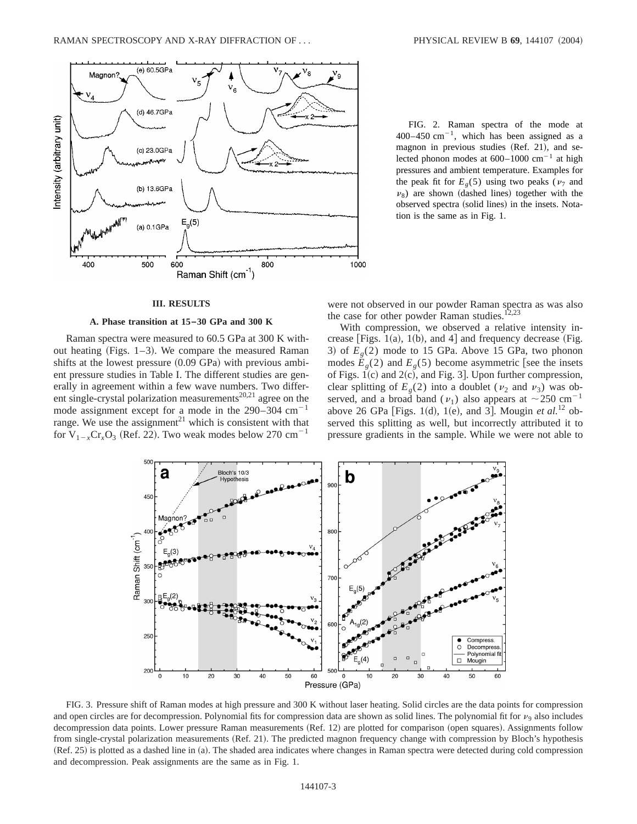

FIG. 2. Raman spectra of the mode at 400–450 cm<sup>-1</sup>, which has been assigned as a magnon in previous studies (Ref. 21), and selected phonon modes at  $600-1000$  cm<sup>-1</sup> at high pressures and ambient temperature. Examples for the peak fit for  $E<sub>g</sub>(5)$  using two peaks ( $v<sub>7</sub>$  and  $\nu_8$ ) are shown (dashed lines) together with the observed spectra (solid lines) in the insets. Notation is the same as in Fig. 1.

### **III. RESULTS**

### **A. Phase transition at 15–30 GPa and 300 K**

Raman spectra were measured to 60.5 GPa at 300 K without heating (Figs.  $1-3$ ). We compare the measured Raman shifts at the lowest pressure  $(0.09 \text{ GPa})$  with previous ambient pressure studies in Table I. The different studies are generally in agreement within a few wave numbers. Two different single-crystal polarization measurements<sup>20,21</sup> agree on the mode assignment except for a mode in the  $290-304$  cm<sup>-1</sup> range. We use the assignment<sup>21</sup> which is consistent with that for  $V_{1-x}Cr_xO_3$  (Ref. 22). Two weak modes below 270 cm<sup>-1</sup>

were not observed in our powder Raman spectra as was also the case for other powder Raman studies.<sup>12,23</sup>

With compression, we observed a relative intensity increase [Figs. 1(a), 1(b), and 4] and frequency decrease (Fig. 3) of  $E_q(2)$  mode to 15 GPa. Above 15 GPa, two phonon modes  $E<sub>g</sub>(2)$  and  $E<sub>g</sub>(5)$  become asymmetric [see the insets of Figs.  $1(c)$  and  $2(c)$ , and Fig. 3. Upon further compression, clear splitting of  $E<sub>g</sub>(2)$  into a doublet ( $\nu_2$  and  $\nu_3$ ) was observed, and a broad band ( $v_1$ ) also appears at  $\sim$ 250 cm<sup>-1</sup> above 26 GPa [Figs. 1(d), 1(e), and 3]. Mougin *et al.*<sup>12</sup> observed this splitting as well, but incorrectly attributed it to pressure gradients in the sample. While we were not able to



FIG. 3. Pressure shift of Raman modes at high pressure and 300 K without laser heating. Solid circles are the data points for compression and open circles are for decompression. Polynomial fits for compression data are shown as solid lines. The polynomial fit for  $\nu_{9}$  also includes decompression data points. Lower pressure Raman measurements (Ref. 12) are plotted for comparison (open squares). Assignments follow from single-crystal polarization measurements (Ref. 21). The predicted magnon frequency change with compression by Bloch's hypothesis (Ref. 25) is plotted as a dashed line in (a). The shaded area indicates where changes in Raman spectra were detected during cold compression and decompression. Peak assignments are the same as in Fig. 1.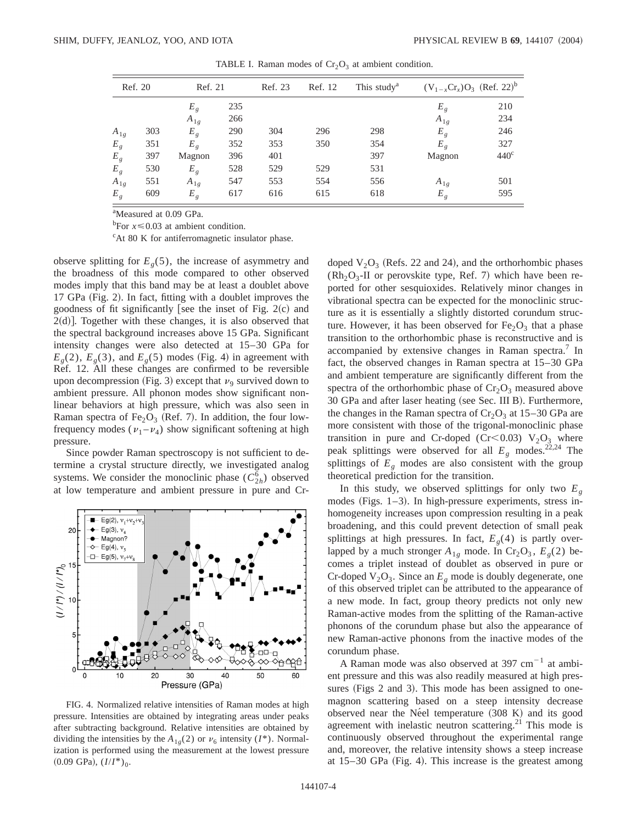| Ref. 20        |     | Ref. 21        |     | Ref. 23 | Ref. 12 | This study <sup>a</sup> |                | $(V_{1-x}Cr_x)O_3$ (Ref. 22) <sup>b</sup> |  |
|----------------|-----|----------------|-----|---------|---------|-------------------------|----------------|-------------------------------------------|--|
|                |     | E <sub>g</sub> | 235 |         |         |                         | E <sub>g</sub> | 210                                       |  |
|                |     | $A_{1g}$       | 266 |         |         |                         | $A_{1g}$       | 234                                       |  |
| $A_{1g}$       | 303 | $E_{\varrho}$  | 290 | 304     | 296     | 298                     | $E_{g}$        | 246                                       |  |
| $E_g$          | 351 | $E_g$          | 352 | 353     | 350     | 354                     | $E_g$          | 327                                       |  |
| $E_g$          | 397 | Magnon         | 396 | 401     |         | 397                     | Magnon         | 440 <sup>c</sup>                          |  |
| $E_g$          | 530 | $E_g$          | 528 | 529     | 529     | 531                     |                |                                           |  |
| $A_{1g}$       | 551 | $A_{1g}$       | 547 | 553     | 554     | 556                     | $A_{1g}$       | 501                                       |  |
| E <sub>g</sub> | 609 | $E_{g}$        | 617 | 616     | 615     | 618                     | $E_g$          | 595                                       |  |

TABLE I. Raman modes of  $Cr_2O_3$  at ambient condition.

<sup>a</sup>Measured at 0.09 GPa.

<sup>b</sup>For  $x \le 0.03$  at ambient condition.

<sup>c</sup>At 80 K for antiferromagnetic insulator phase.

observe splitting for  $E<sub>g</sub>(5)$ , the increase of asymmetry and the broadness of this mode compared to other observed modes imply that this band may be at least a doublet above 17 GPa (Fig. 2). In fact, fitting with a doublet improves the goodness of fit significantly [see the inset of Fig.  $2(c)$  and  $2(d)$ ]. Together with these changes, it is also observed that the spectral background increases above 15 GPa. Significant intensity changes were also detected at 15–30 GPa for  $E<sub>g</sub>(2)$ ,  $E<sub>g</sub>(3)$ , and  $E<sub>g</sub>(5)$  modes (Fig. 4) in agreement with Ref. 12. All these changes are confirmed to be reversible upon decompression (Fig. 3) except that  $\nu_9$  survived down to ambient pressure. All phonon modes show significant nonlinear behaviors at high pressure, which was also seen in Raman spectra of Fe<sub>2</sub>O<sub>3</sub> (Ref. 7). In addition, the four lowfrequency modes ( $v_1 - v_4$ ) show significant softening at high pressure.

Since powder Raman spectroscopy is not sufficient to determine a crystal structure directly, we investigated analog systems. We consider the monoclinic phase  $(C_{2h}^{\overline{6}})$  observed at low temperature and ambient pressure in pure and Cr-



FIG. 4. Normalized relative intensities of Raman modes at high pressure. Intensities are obtained by integrating areas under peaks after subtracting background. Relative intensities are obtained by dividing the intensities by the  $A_{1g}(2)$  or  $\nu_6$  intensity (*I*<sup>\*</sup>). Normalization is performed using the measurement at the lowest pressure  $(0.09 \text{ GPa})$ ,  $(I/I^*)_0$ .

doped  $V_2O_3$  (Refs. 22 and 24), and the orthorhombic phases  $(Rh<sub>2</sub>O<sub>3</sub>$ -II or perovskite type, Ref. 7) which have been reported for other sesquioxides. Relatively minor changes in vibrational spectra can be expected for the monoclinic structure as it is essentially a slightly distorted corundum structure. However, it has been observed for  $Fe<sub>2</sub>O<sub>3</sub>$  that a phase transition to the orthorhombic phase is reconstructive and is accompanied by extensive changes in Raman spectra.<sup>7</sup> In fact, the observed changes in Raman spectra at 15–30 GPa and ambient temperature are significantly different from the spectra of the orthorhombic phase of  $Cr_2O_3$  measured above 30 GPa and after laser heating (see Sec. III B). Furthermore, the changes in the Raman spectra of  $Cr_2O_3$  at 15–30 GPa are more consistent with those of the trigonal-monoclinic phase transition in pure and Cr-doped (Cr<0.03)  $V_2O_3$  where peak splittings were observed for all  $E<sub>g</sub>$  modes.<sup>22,24</sup> The splittings of  $E<sub>g</sub>$  modes are also consistent with the group theoretical prediction for the transition.

In this study, we observed splittings for only two  $E<sub>g</sub>$ modes (Figs.  $1-3$ ). In high-pressure experiments, stress inhomogeneity increases upon compression resulting in a peak broadening, and this could prevent detection of small peak splittings at high pressures. In fact,  $E<sub>g</sub>(4)$  is partly overlapped by a much stronger  $A_{1g}$  mode. In Cr<sub>2</sub>O<sub>3</sub>,  $E_g(2)$  becomes a triplet instead of doublet as observed in pure or Cr-doped  $V_2O_3$ . Since an  $E_g$  mode is doubly degenerate, one of this observed triplet can be attributed to the appearance of a new mode. In fact, group theory predicts not only new Raman-active modes from the splitting of the Raman-active phonons of the corundum phase but also the appearance of new Raman-active phonons from the inactive modes of the corundum phase.

A Raman mode was also observed at  $397 \text{ cm}^{-1}$  at ambient pressure and this was also readily measured at high pressures (Figs 2 and 3). This mode has been assigned to onemagnon scattering based on a steep intensity decrease observed near the Ne<sup>e</sup>l temperature  $(308 \text{ K})$  and its good agreement with inelastic neutron scattering.<sup>21</sup> This mode is continuously observed throughout the experimental range and, moreover, the relative intensity shows a steep increase at  $15-30$  GPa (Fig. 4). This increase is the greatest among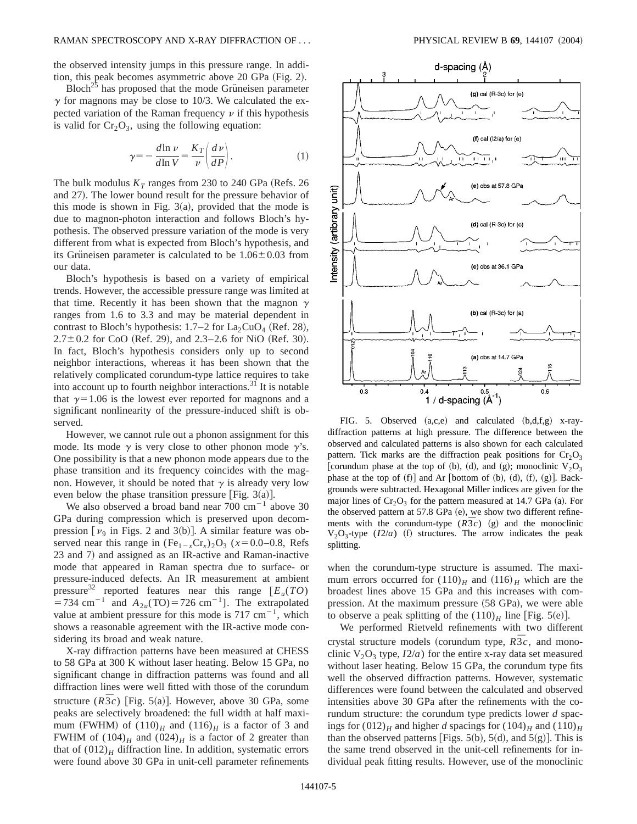#### RAMAN SPECTROSCOPY AND X-RAY DIFFRACTION OF . . . PHYSICAL REVIEW B **69**, 144107 ~2004!

the observed intensity jumps in this pressure range. In addition, this peak becomes asymmetric above  $20$  GPa (Fig. 2).

 $Bloch<sup>25</sup>$  has proposed that the mode Grüneisen parameter  $\gamma$  for magnons may be close to 10/3. We calculated the expected variation of the Raman frequency  $\nu$  if this hypothesis is valid for  $Cr_2O_3$ , using the following equation:

$$
\gamma = -\frac{d\ln \nu}{d\ln V} = \frac{K_T}{\nu} \left( \frac{d\nu}{dP} \right). \tag{1}
$$

The bulk modulus  $K_T$  ranges from 230 to 240 GPa (Refs. 26) and 27). The lower bound result for the pressure behavior of this mode is shown in Fig.  $3(a)$ , provided that the mode is due to magnon-photon interaction and follows Bloch's hypothesis. The observed pressure variation of the mode is very different from what is expected from Bloch's hypothesis, and its Grüneisen parameter is calculated to be  $1.06 \pm 0.03$  from our data.

Bloch's hypothesis is based on a variety of empirical trends. However, the accessible pressure range was limited at that time. Recently it has been shown that the magnon  $\gamma$ ranges from 1.6 to 3.3 and may be material dependent in contrast to Bloch's hypothesis:  $1.7-2$  for  $La_2CuO_4$  (Ref. 28),  $2.7 \pm 0.2$  for CoO (Ref. 29), and 2.3–2.6 for NiO (Ref. 30). In fact, Bloch's hypothesis considers only up to second neighbor interactions, whereas it has been shown that the relatively complicated corundum-type lattice requires to take into account up to fourth neighbor interactions.<sup>31</sup> It is notable that  $\gamma=1.06$  is the lowest ever reported for magnons and a significant nonlinearity of the pressure-induced shift is observed.

However, we cannot rule out a phonon assignment for this mode. Its mode  $\gamma$  is very close to other phonon mode  $\gamma$ 's. One possibility is that a new phonon mode appears due to the phase transition and its frequency coincides with the magnon. However, it should be noted that  $\gamma$  is already very low even below the phase transition pressure [Fig.  $3(a)$ ].

We also observed a broad band near  $700 \text{ cm}^{-1}$  above 30 GPa during compression which is preserved upon decompression  $[v_9]$  in Figs. 2 and 3(b)]. A similar feature was observed near this range in  $(Fe_{1-x}Cr_x)_2O_3$  ( $x=0.0-0.8$ , Refs 23 and 7) and assigned as an IR-active and Raman-inactive mode that appeared in Raman spectra due to surface- or pressure-induced defects. An IR measurement at ambient pressure<sup>32</sup> reported features near this range  $[E_u(TO)]$ =734 cm<sup>-1</sup> and  $A_{2u}(\text{TO})$ =726 cm<sup>-1</sup>]. The extrapolated value at ambient pressure for this mode is  $717 \text{ cm}^{-1}$ , which shows a reasonable agreement with the IR-active mode considering its broad and weak nature.

X-ray diffraction patterns have been measured at CHESS to 58 GPa at 300 K without laser heating. Below 15 GPa, no significant change in diffraction patterns was found and all diffraction lines were well fitted with those of the corundum structure  $(R\bar{3}c)$  [Fig. 5(a)]. However, above 30 GPa, some peaks are selectively broadened: the full width at half maximum (FWHM) of  $(110)<sub>H</sub>$  and  $(116)<sub>H</sub>$  is a factor of 3 and FWHM of  $(104)_H$  and  $(024)_H$  is a factor of 2 greater than that of  $(012)<sub>H</sub>$  diffraction line. In addition, systematic errors were found above 30 GPa in unit-cell parameter refinements



FIG. 5. Observed  $(a, c, e)$  and calculated  $(b, d, f, g)$  x-raydiffraction patterns at high pressure. The difference between the observed and calculated patterns is also shown for each calculated pattern. Tick marks are the diffraction peak positions for  $Cr_2O_3$ [corundum phase at the top of (b), (d), and (g); monoclinic  $V_2O_3$ phase at the top of  $(f)$ ] and Ar [bottom of  $(b)$ ,  $(d)$ ,  $(f)$ ,  $(g)$ ]. Backgrounds were subtracted. Hexagonal Miller indices are given for the major lines of  $Cr_2O_3$  for the pattern measured at 14.7 GPa (a). For the observed pattern at  $57.8$  GPa (e), we show two different refinements with the corundum-type  $(R\overline{3}c)$  (g) and the monoclinic  $V_2O_3$ -type ( $I2/a$ ) (f) structures. The arrow indicates the peak splitting.

when the corundum-type structure is assumed. The maximum errors occurred for  $(110)<sub>H</sub>$  and  $(116)<sub>H</sub>$  which are the broadest lines above 15 GPa and this increases with compression. At the maximum pressure  $(58 \text{ GPa})$ , we were able to observe a peak splitting of the  $(110)<sub>H</sub>$  line [Fig. 5(e)].

We performed Rietveld refinements with two different  $\frac{1}{2}$  crystal structure models (corundum type,  $R\bar{3}c$ , and monoclinic  $V_2O_3$  type,  $I2/a$ ) for the entire x-ray data set measured without laser heating. Below 15 GPa, the corundum type fits well the observed diffraction patterns. However, systematic differences were found between the calculated and observed intensities above 30 GPa after the refinements with the corundum structure: the corundum type predicts lower *d* spacings for  $(012)_H$  and higher *d* spacings for  $(104)_H$  and  $(110)_H$ than the observed patterns [Figs. 5(b), 5(d), and 5(g)]. This is the same trend observed in the unit-cell refinements for individual peak fitting results. However, use of the monoclinic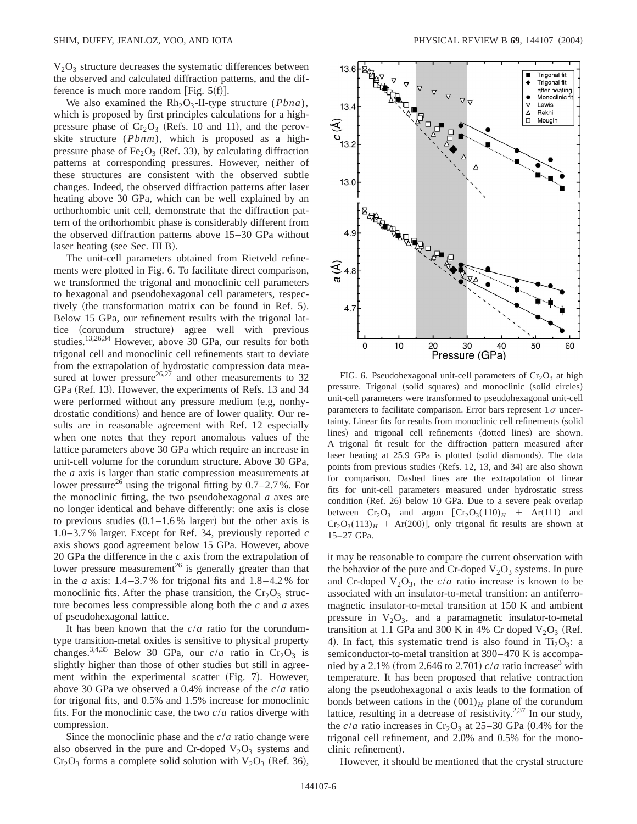$V<sub>2</sub>O<sub>3</sub>$  structure decreases the systematic differences between the observed and calculated diffraction patterns, and the difference is much more random [Fig.  $5(f)$ ].

We also examined the  $Rh_2O_3$ -II-type structure (*Pbna*), which is proposed by first principles calculations for a highpressure phase of  $Cr_2O_3$  (Refs. 10 and 11), and the perovskite structure (*Pbnm*), which is proposed as a highpressure phase of Fe<sub>2</sub>O<sub>3</sub> (Ref. 33), by calculating diffraction patterns at corresponding pressures. However, neither of these structures are consistent with the observed subtle changes. Indeed, the observed diffraction patterns after laser heating above 30 GPa, which can be well explained by an orthorhombic unit cell, demonstrate that the diffraction pattern of the orthorhombic phase is considerably different from the observed diffraction patterns above 15–30 GPa without laser heating (see Sec. III B).

The unit-cell parameters obtained from Rietveld refinements were plotted in Fig. 6. To facilitate direct comparison, we transformed the trigonal and monoclinic cell parameters to hexagonal and pseudohexagonal cell parameters, respectively (the transformation matrix can be found in Ref.  $5$ ). Below 15 GPa, our refinement results with the trigonal lattice (corundum structure) agree well with previous studies.13,26,34 However, above 30 GPa, our results for both trigonal cell and monoclinic cell refinements start to deviate from the extrapolation of hydrostatic compression data measured at lower pressure<sup>26,27</sup> and other measurements to 32 GPa (Ref. 13). However, the experiments of Refs. 13 and 34 were performed without any pressure medium (e.g, nonhydrostatic conditions) and hence are of lower quality. Our results are in reasonable agreement with Ref. 12 especially when one notes that they report anomalous values of the lattice parameters above 30 GPa which require an increase in unit-cell volume for the corundum structure. Above 30 GPa, the *a* axis is larger than static compression measurements at lower pressure<sup>26</sup> using the trigonal fitting by  $0.7-2.7$ %. For the monoclinic fitting, the two pseudohexagonal *a* axes are no longer identical and behave differently: one axis is close to previous studies  $(0.1-1.6\%$  larger) but the other axis is 1.0–3.7 % larger. Except for Ref. 34, previously reported *c* axis shows good agreement below 15 GPa. However, above 20 GPa the difference in the *c* axis from the extrapolation of lower pressure measurement<sup>26</sup> is generally greater than that in the *a* axis:  $1.4 - 3.7$ % for trigonal fits and  $1.8 - 4.2$ % for monoclinic fits. After the phase transition, the  $Cr_2O_3$  structure becomes less compressible along both the *c* and *a* axes of pseudohexagonal lattice.

It has been known that the *c*/*a* ratio for the corundumtype transition-metal oxides is sensitive to physical property changes.<sup>3,4,35</sup> Below 30 GPa, our  $c/a$  ratio in Cr<sub>2</sub>O<sub>3</sub> is slightly higher than those of other studies but still in agreement within the experimental scatter (Fig. 7). However, above 30 GPa we observed a 0.4% increase of the *c*/*a* ratio for trigonal fits, and 0.5% and 1.5% increase for monoclinic fits. For the monoclinic case, the two *c*/*a* ratios diverge with compression.

Since the monoclinic phase and the *c*/*a* ratio change were also observed in the pure and Cr-doped  $V_2O_3$  systems and  $Cr_2O_3$  forms a complete solid solution with  $V_2O_3$  (Ref. 36),



FIG. 6. Pseudohexagonal unit-cell parameters of  $Cr_2O_3$  at high pressure. Trigonal (solid squares) and monoclinic (solid circles) unit-cell parameters were transformed to pseudohexagonal unit-cell parameters to facilitate comparison. Error bars represent  $1\sigma$  uncertainty. Linear fits for results from monoclinic cell refinements (solid lines) and trigonal cell refinements (dotted lines) are shown. A trigonal fit result for the diffraction pattern measured after laser heating at 25.9 GPa is plotted (solid diamonds). The data points from previous studies (Refs. 12, 13, and 34) are also shown for comparison. Dashed lines are the extrapolation of linear fits for unit-cell parameters measured under hydrostatic stress condition (Ref. 26) below 10 GPa. Due to a severe peak overlap between  $Cr_2O_3$  and argon  $[Cr_2O_3(110)_H$  + Ar(111) and  $Cr_2O_3(113)_H$  + Ar(200)], only trigonal fit results are shown at 15–27 GPa.

it may be reasonable to compare the current observation with the behavior of the pure and Cr-doped  $V_2O_3$  systems. In pure and Cr-doped  $V_2O_3$ , the *c/a* ratio increase is known to be associated with an insulator-to-metal transition: an antiferromagnetic insulator-to-metal transition at 150 K and ambient pressure in  $V_2O_3$ , and a paramagnetic insulator-to-metal transition at 1.1 GPa and 300 K in 4% Cr doped  $V_2O_3$  (Ref. 4). In fact, this systematic trend is also found in  $Ti<sub>2</sub>O<sub>3</sub>$ : a semiconductor-to-metal transition at 390–470 K is accompanied by a 2.1% (from 2.646 to 2.701)  $c/a$  ratio increase<sup>3</sup> with temperature. It has been proposed that relative contraction along the pseudohexagonal *a* axis leads to the formation of bonds between cations in the  $(001)<sub>H</sub>$  plane of the corundum lattice, resulting in a decrease of resistivity. $2,37$  In our study, the  $c/a$  ratio increases in Cr<sub>2</sub>O<sub>3</sub> at 25–30 GPa (0.4% for the trigonal cell refinement, and 2.0% and 0.5% for the monoclinic refinement).

However, it should be mentioned that the crystal structure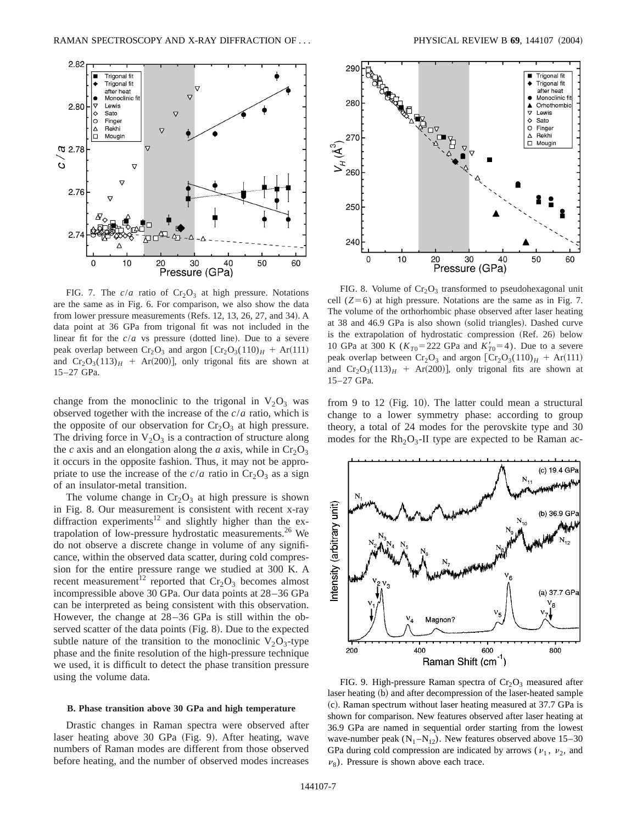

FIG. 7. The  $c/a$  ratio of  $Cr_2O_3$  at high pressure. Notations are the same as in Fig. 6. For comparison, we also show the data from lower pressure measurements (Refs.  $12, 13, 26, 27,$  and 34). A data point at 36 GPa from trigonal fit was not included in the linear fit for the  $c/a$  vs pressure (dotted line). Due to a severe peak overlap between  $Cr_2O_3$  and argon  $[Cr_2O_3(110)_H + Ar(111)]$ and  $Cr_2O_3(113)_H$  + Ar(200)], only trigonal fits are shown at 15–27 GPa.

change from the monoclinic to the trigonal in  $V_2O_3$  was observed together with the increase of the *c*/*a* ratio, which is the opposite of our observation for  $Cr_2O_3$  at high pressure. The driving force in  $V_2O_3$  is a contraction of structure along the *c* axis and an elongation along the *a* axis, while in  $Cr_2O_3$ it occurs in the opposite fashion. Thus, it may not be appropriate to use the increase of the  $c/a$  ratio in  $Cr_2O_3$  as a sign of an insulator-metal transition.

The volume change in  $Cr_2O_3$  at high pressure is shown in Fig. 8. Our measurement is consistent with recent x-ray diffraction experiments<sup>12</sup> and slightly higher than the extrapolation of low-pressure hydrostatic measurements.<sup>26</sup> We do not observe a discrete change in volume of any significance, within the observed data scatter, during cold compression for the entire pressure range we studied at 300 K. A recent measurement<sup>12</sup> reported that  $Cr_2O_3$  becomes almost incompressible above 30 GPa. Our data points at 28–36 GPa can be interpreted as being consistent with this observation. However, the change at 28–36 GPa is still within the observed scatter of the data points (Fig. 8). Due to the expected subtle nature of the transition to the monoclinic  $V_2O_3$ -type phase and the finite resolution of the high-pressure technique we used, it is difficult to detect the phase transition pressure using the volume data.

#### **B. Phase transition above 30 GPa and high temperature**

Drastic changes in Raman spectra were observed after laser heating above 30 GPa (Fig. 9). After heating, wave numbers of Raman modes are different from those observed before heating, and the number of observed modes increases



FIG. 8. Volume of  $Cr_2O_3$  transformed to pseudohexagonal unit cell  $(Z=6)$  at high pressure. Notations are the same as in Fig. 7. The volume of the orthorhombic phase observed after laser heating at 38 and 46.9 GPa is also shown (solid triangles). Dashed curve is the extrapolation of hydrostatic compression (Ref. 26) below 10 GPa at 300 K ( $K_{T0}$ =222 GPa and  $K'_{T0}$ =4). Due to a severe peak overlap between  $Cr_2O_3$  and argon  $[Cr_2O_3(110)_H + Ar(111)]$ and  $Cr_2O_3(113)_H$  + Ar(200)], only trigonal fits are shown at 15–27 GPa.

from 9 to 12 (Fig. 10). The latter could mean a structural change to a lower symmetry phase: according to group theory, a total of 24 modes for the perovskite type and 30 modes for the  $Rh_2O_3$ -II type are expected to be Raman ac-



FIG. 9. High-pressure Raman spectra of  $Cr_2O_3$  measured after laser heating (b) and after decompression of the laser-heated sample ~c!. Raman spectrum without laser heating measured at 37.7 GPa is shown for comparison. New features observed after laser heating at 36.9 GPa are named in sequential order starting from the lowest wave-number peak  $(N_1-N_{12})$ . New features observed above 15–30 GPa during cold compression are indicated by arrows ( $v_1$ ,  $v_2$ , and  $\nu_8$ ). Pressure is shown above each trace.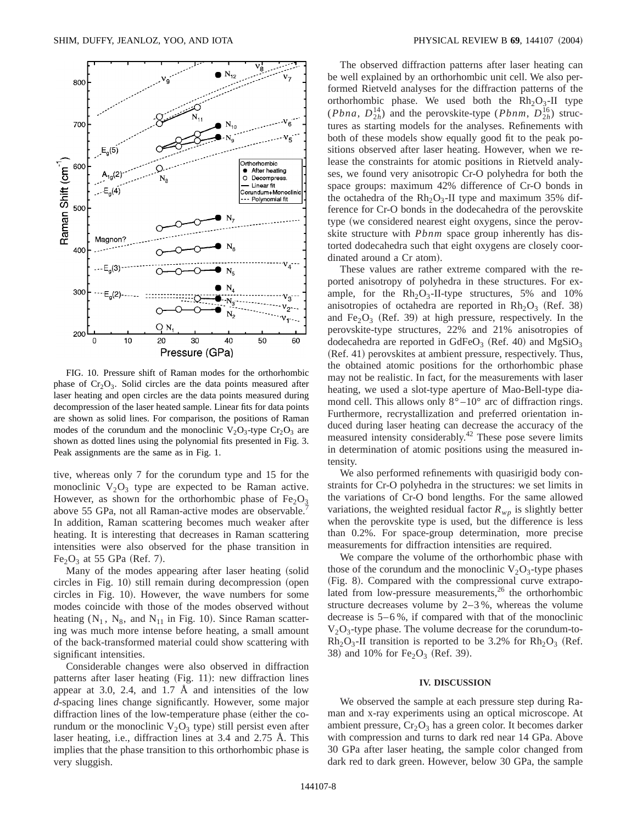

FIG. 10. Pressure shift of Raman modes for the orthorhombic phase of  $Cr_2O_3$ . Solid circles are the data points measured after laser heating and open circles are the data points measured during decompression of the laser heated sample. Linear fits for data points are shown as solid lines. For comparison, the positions of Raman modes of the corundum and the monoclinic  $V_2O_3$ -type  $Cr_2O_3$  are shown as dotted lines using the polynomial fits presented in Fig. 3. Peak assignments are the same as in Fig. 1.

tive, whereas only 7 for the corundum type and 15 for the monoclinic  $V_2O_3$  type are expected to be Raman active. However, as shown for the orthorhombic phase of  $Fe<sub>2</sub>O<sub>3</sub>$ above 55 GPa, not all Raman-active modes are observable. In addition, Raman scattering becomes much weaker after heating. It is interesting that decreases in Raman scattering intensities were also observed for the phase transition in  $Fe<sub>2</sub>O<sub>3</sub>$  at 55 GPa (Ref. 7).

Many of the modes appearing after laser heating (solid circles in Fig. 10) still remain during decompression (open circles in Fig. 10). However, the wave numbers for some modes coincide with those of the modes observed without heating  $(N_1, N_8,$  and  $N_{11}$  in Fig. 10). Since Raman scattering was much more intense before heating, a small amount of the back-transformed material could show scattering with significant intensities.

Considerable changes were also observed in diffraction patterns after laser heating (Fig. 11): new diffraction lines appear at 3.0, 2.4, and 1.7 Å and intensities of the low *d*-spacing lines change significantly. However, some major diffraction lines of the low-temperature phase (either the corundum or the monoclinic  $V_2O_3$  type) still persist even after laser heating, i.e., diffraction lines at 3.4 and 2.75 Å. This implies that the phase transition to this orthorhombic phase is very sluggish.

The observed diffraction patterns after laser heating can be well explained by an orthorhombic unit cell. We also performed Rietveld analyses for the diffraction patterns of the orthorhombic phase. We used both the  $Rh<sub>2</sub>O<sub>3</sub>$ -II type (*Pbna*,  $D_{2h}^{14}$ ) and the perovskite-type (*Pbnm*,  $D_{2h}^{16}$ ) structures as starting models for the analyses. Refinements with both of these models show equally good fit to the peak positions observed after laser heating. However, when we release the constraints for atomic positions in Rietveld analyses, we found very anisotropic Cr-O polyhedra for both the space groups: maximum 42% difference of Cr-O bonds in the octahedra of the  $Rh<sub>2</sub>O<sub>3</sub>$ -II type and maximum 35% difference for Cr-O bonds in the dodecahedra of the perovskite type (we considered nearest eight oxygens, since the perovskite structure with *Pbnm* space group inherently has distorted dodecahedra such that eight oxygens are closely coordinated around a Cr atom).

These values are rather extreme compared with the reported anisotropy of polyhedra in these structures. For example, for the  $Rh_2O_3$ -II-type structures, 5% and 10% anisotropies of octahedra are reported in  $Rh<sub>2</sub>O<sub>3</sub>$  (Ref. 38) and  $Fe<sub>2</sub>O<sub>3</sub>$  (Ref. 39) at high pressure, respectively. In the perovskite-type structures, 22% and 21% anisotropies of dodecahedra are reported in GdFeO<sub>3</sub> (Ref. 40) and MgSiO<sub>3</sub>  $(Ref. 41)$  perovskites at ambient pressure, respectively. Thus, the obtained atomic positions for the orthorhombic phase may not be realistic. In fact, for the measurements with laser heating, we used a slot-type aperture of Mao-Bell-type diamond cell. This allows only  $8^\circ - 10^\circ$  arc of diffraction rings. Furthermore, recrystallization and preferred orientation induced during laser heating can decrease the accuracy of the measured intensity considerably.<sup>42</sup> These pose severe limits in determination of atomic positions using the measured intensity.

We also performed refinements with quasirigid body constraints for Cr-O polyhedra in the structures: we set limits in the variations of Cr-O bond lengths. For the same allowed variations, the weighted residual factor  $R_{wp}$  is slightly better when the perovskite type is used, but the difference is less than 0.2%. For space-group determination, more precise measurements for diffraction intensities are required.

We compare the volume of the orthorhombic phase with those of the corundum and the monoclinic  $V_2O_3$ -type phases (Fig. 8). Compared with the compressional curve extrapolated from low-pressure measurements, $2<sup>6</sup>$  the orthorhombic structure decreases volume by 2–3 %, whereas the volume decrease is 5–6 %, if compared with that of the monoclinic  $V_2O_3$ -type phase. The volume decrease for the corundum-to- $Rh<sub>2</sub>O<sub>3</sub>$ -II transition is reported to be 3.2% for  $Rh<sub>2</sub>O<sub>3</sub>$  (Ref. 38) and 10% for  $Fe<sub>2</sub>O<sub>3</sub>$  (Ref. 39).

#### **IV. DISCUSSION**

We observed the sample at each pressure step during Raman and x-ray experiments using an optical microscope. At ambient pressure,  $Cr_2O_3$  has a green color. It becomes darker with compression and turns to dark red near 14 GPa. Above 30 GPa after laser heating, the sample color changed from dark red to dark green. However, below 30 GPa, the sample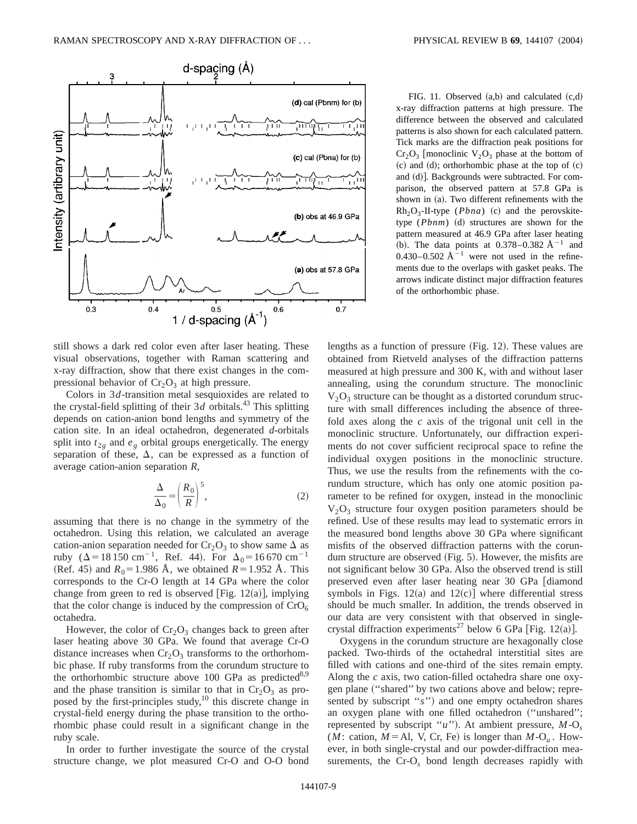

still shows a dark red color even after laser heating. These visual observations, together with Raman scattering and x-ray diffraction, show that there exist changes in the compressional behavior of  $Cr<sub>2</sub>O<sub>3</sub>$  at high pressure.

Colors in 3*d*-transition metal sesquioxides are related to the crystal-field splitting of their  $3d$  orbitals.<sup>43</sup> This splitting depends on cation-anion bond lengths and symmetry of the cation site. In an ideal octahedron, degenerated *d*-orbitals split into  $t_{2g}$  and  $e_g$  orbital groups energetically. The energy separation of these,  $\Delta$ , can be expressed as a function of average cation-anion separation *R*,

$$
\frac{\Delta}{\Delta_0} = \left(\frac{R_0}{R}\right)^5,\tag{2}
$$

assuming that there is no change in the symmetry of the octahedron. Using this relation, we calculated an average cation-anion separation needed for  $Cr_2O_3$  to show same  $\Delta$  as ruby ( $\Delta = 18\,150 \text{ cm}^{-1}$ , Ref. 44). For  $\Delta_0 = 16\,670 \text{ cm}^{-1}$ (Ref. 45) and  $R_0 = 1.986$  Å, we obtained  $R = 1.952$  Å. This corresponds to the Cr-O length at 14 GPa where the color change from green to red is observed [Fig.  $12(a)$ ], implying that the color change is induced by the compression of  $CrO<sub>6</sub>$ octahedra.

However, the color of  $Cr_2O_3$  changes back to green after laser heating above 30 GPa. We found that average Cr-O distance increases when  $Cr_2O_3$  transforms to the orthorhombic phase. If ruby transforms from the corundum structure to the orthorhombic structure above 100 GPa as predicted $8.9$ and the phase transition is similar to that in  $Cr_2O_3$  as proposed by the first-principles study, $^{10}$  this discrete change in crystal-field energy during the phase transition to the orthorhombic phase could result in a significant change in the ruby scale.

In order to further investigate the source of the crystal structure change, we plot measured Cr-O and O-O bond

FIG. 11. Observed  $(a,b)$  and calculated  $(c,d)$ x-ray diffraction patterns at high pressure. The difference between the observed and calculated patterns is also shown for each calculated pattern. Tick marks are the diffraction peak positions for  $Cr_2O_3$  [monoclinic  $V_2O_3$  phase at the bottom of  $~(c)$  and  $~(d)$ ; orthorhombic phase at the top of  $~(c)$ and  $(d)$ ]. Backgrounds were subtracted. For comparison, the observed pattern at 57.8 GPa is shown in  $(a)$ . Two different refinements with the  $Rh<sub>2</sub>O<sub>3</sub>$ -II-type (*Pbna*) (c) and the perovskitetype  $(Phm)$  (d) structures are shown for the pattern measured at 46.9 GPa after laser heating (b). The data points at 0.378–0.382  $A^{-1}$  and 0.430–0.502  $\AA^{-1}$  were not used in the refinements due to the overlaps with gasket peaks. The arrows indicate distinct major diffraction features of the orthorhombic phase.

lengths as a function of pressure  $(Fig. 12)$ . These values are obtained from Rietveld analyses of the diffraction patterns measured at high pressure and 300 K, with and without laser annealing, using the corundum structure. The monoclinic  $V_2O_3$  structure can be thought as a distorted corundum structure with small differences including the absence of threefold axes along the *c* axis of the trigonal unit cell in the monoclinic structure. Unfortunately, our diffraction experiments do not cover sufficient reciprocal space to refine the individual oxygen positions in the monoclinic structure. Thus, we use the results from the refinements with the corundum structure, which has only one atomic position parameter to be refined for oxygen, instead in the monoclinic  $V_2O_3$  structure four oxygen position parameters should be refined. Use of these results may lead to systematic errors in the measured bond lengths above 30 GPa where significant misfits of the observed diffraction patterns with the corundum structure are observed  $(Fig. 5)$ . However, the misfits are not significant below 30 GPa. Also the observed trend is still preserved even after laser heating near 30 GPa [diamond] symbols in Figs.  $12(a)$  and  $12(c)$  where differential stress should be much smaller. In addition, the trends observed in our data are very consistent with that observed in singlecrystal diffraction experiments<sup>27</sup> below 6 GPa [Fig. 12(a)].

Oxygens in the corundum structure are hexagonally close packed. Two-thirds of the octahedral interstitial sites are filled with cations and one-third of the sites remain empty. Along the *c* axis, two cation-filled octahedra share one oxygen plane ("shared" by two cations above and below; represented by subscript "*s*") and one empty octahedron shares an oxygen plane with one filled octahedron ("unshared"; represented by subscript " $u$ "). At ambient pressure,  $M$ -O<sub>s</sub> (*M*: cation,  $M = A1$ , V, Cr, Fe) is longer than  $M - O_u$ . However, in both single-crystal and our powder-diffraction measurements, the Cr-O*<sup>s</sup>* bond length decreases rapidly with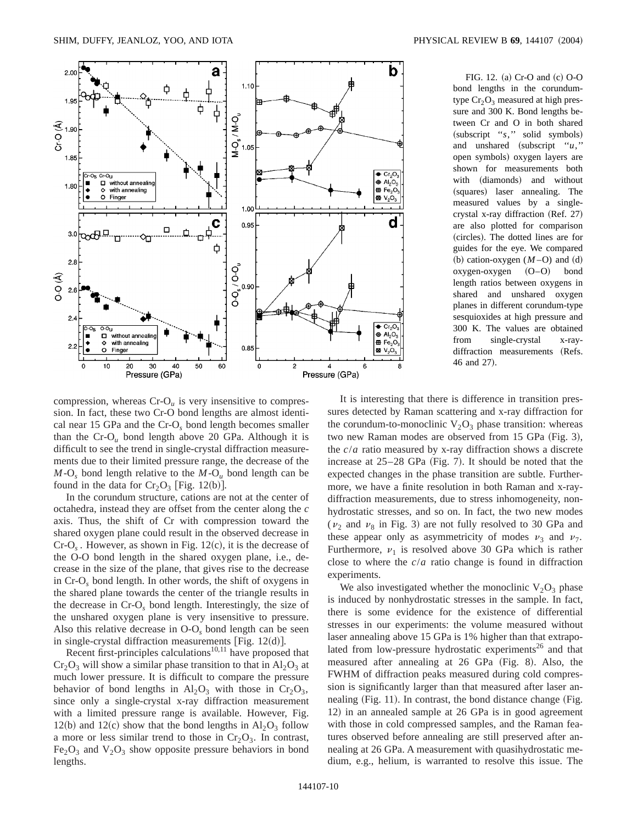

FIG. 12. (a) Cr-O and  $(c)$  O-O bond lengths in the corundumtype  $Cr<sub>2</sub>O<sub>3</sub>$  measured at high pressure and 300 K. Bond lengths between Cr and O in both shared (subscript "*s*," solid symbols) and unshared  $(subscript 'u,'')$ open symbols! oxygen layers are shown for measurements both with (diamonds) and without (squares) laser annealing. The measured values by a singlecrystal x-ray diffraction  $(Ref. 27)$ are also plotted for comparison (circles). The dotted lines are for guides for the eye. We compared (b) cation-oxygen  $(M-O)$  and  $(d)$  $oxygen-oxygen$   $(O-O)$  bond length ratios between oxygens in shared and unshared oxygen planes in different corundum-type sesquioxides at high pressure and 300 K. The values are obtained from single-crystal x-raydiffraction measurements (Refs. 46 and 27).

compression, whereas  $Cr-O<sub>u</sub>$  is very insensitive to compression. In fact, these two Cr-O bond lengths are almost identical near 15 GPa and the Cr-O*<sup>s</sup>* bond length becomes smaller than the  $Cr-O<sub>u</sub>$  bond length above 20 GPa. Although it is difficult to see the trend in single-crystal diffraction measurements due to their limited pressure range, the decrease of the  $M$ -O<sub>s</sub> bond length relative to the  $M$ -O<sub>u</sub> bond length can be found in the data for  $Cr_2O_3$  [Fig. 12(b)].

In the corundum structure, cations are not at the center of octahedra, instead they are offset from the center along the *c* axis. Thus, the shift of Cr with compression toward the shared oxygen plane could result in the observed decrease in  $Cr-O<sub>s</sub>$ . However, as shown in Fig. 12 $(c)$ , it is the decrease of the O-O bond length in the shared oxygen plane, i.e., decrease in the size of the plane, that gives rise to the decrease in Cr-O*<sup>s</sup>* bond length. In other words, the shift of oxygens in the shared plane towards the center of the triangle results in the decrease in Cr-O*<sup>s</sup>* bond length. Interestingly, the size of the unshared oxygen plane is very insensitive to pressure. Also this relative decrease in O-O*<sup>s</sup>* bond length can be seen in single-crystal diffraction measurements [Fig.  $12(d)$ ].

Recent first-principles calculations $10,11$  have proposed that  $Cr_2O_3$  will show a similar phase transition to that in  $Al_2O_3$  at much lower pressure. It is difficult to compare the pressure behavior of bond lengths in  $Al_2O_3$  with those in  $Cr_2O_3$ , since only a single-crystal x-ray diffraction measurement with a limited pressure range is available. However, Fig. 12(b) and 12(c) show that the bond lengths in  $Al_2O_3$  follow a more or less similar trend to those in  $Cr_2O_3$ . In contrast,  $Fe<sub>2</sub>O<sub>3</sub>$  and  $V<sub>2</sub>O<sub>3</sub>$  show opposite pressure behaviors in bond lengths.

It is interesting that there is difference in transition pressures detected by Raman scattering and x-ray diffraction for the corundum-to-monoclinic  $V_2O_3$  phase transition: whereas two new Raman modes are observed from  $15$  GPa (Fig. 3), the *c*/*a* ratio measured by x-ray diffraction shows a discrete increase at  $25-28$  GPa (Fig. 7). It should be noted that the expected changes in the phase transition are subtle. Furthermore, we have a finite resolution in both Raman and x-raydiffraction measurements, due to stress inhomogeneity, nonhydrostatic stresses, and so on. In fact, the two new modes ( $v_2$  and  $v_8$  in Fig. 3) are not fully resolved to 30 GPa and these appear only as asymmetricity of modes  $\nu_3$  and  $\nu_7$ . Furthermore,  $\nu_1$  is resolved above 30 GPa which is rather close to where the *c*/*a* ratio change is found in diffraction experiments.

We also investigated whether the monoclinic  $V_2O_3$  phase is induced by nonhydrostatic stresses in the sample. In fact, there is some evidence for the existence of differential stresses in our experiments: the volume measured without laser annealing above 15 GPa is 1% higher than that extrapolated from low-pressure hydrostatic experiments<sup>26</sup> and that measured after annealing at  $26$  GPa (Fig. 8). Also, the FWHM of diffraction peaks measured during cold compression is significantly larger than that measured after laser annealing  $(Fig. 11)$ . In contrast, the bond distance change  $(Fig. 11)$ . 12) in an annealed sample at 26 GPa is in good agreement with those in cold compressed samples, and the Raman features observed before annealing are still preserved after annealing at 26 GPa. A measurement with quasihydrostatic medium, e.g., helium, is warranted to resolve this issue. The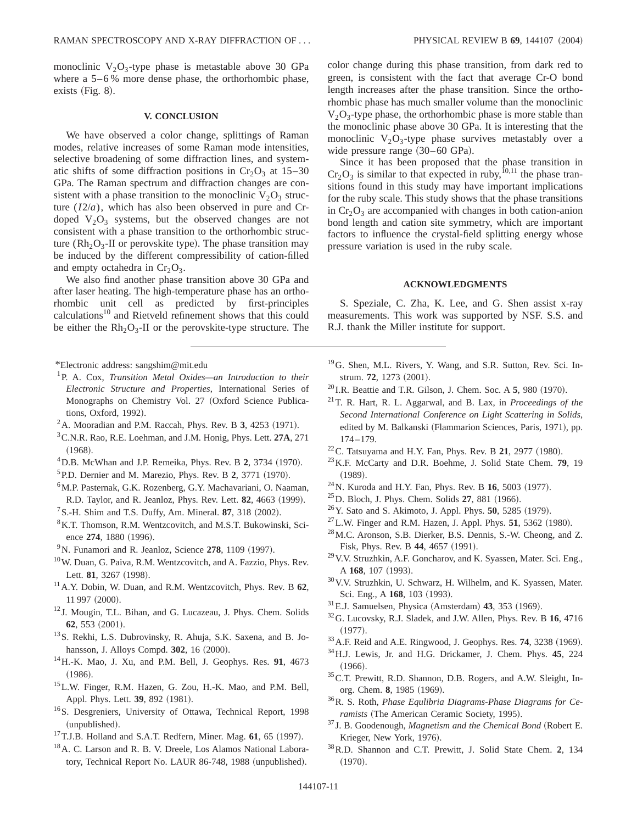monoclinic  $V_2O_3$ -type phase is metastable above 30 GPa where a  $5-6\%$  more dense phase, the orthorhombic phase, exists  $(Fig. 8)$ .

## **V. CONCLUSION**

We have observed a color change, splittings of Raman modes, relative increases of some Raman mode intensities, selective broadening of some diffraction lines, and systematic shifts of some diffraction positions in  $Cr_2O_3$  at 15–30 GPa. The Raman spectrum and diffraction changes are consistent with a phase transition to the monoclinic  $V_2O_3$  structure (*I*2/*a*), which has also been observed in pure and Crdoped  $V_2O_3$  systems, but the observed changes are not consistent with a phase transition to the orthorhombic structure ( $Rh_2O_3$ -II or perovskite type). The phase transition may be induced by the different compressibility of cation-filled and empty octahedra in  $Cr<sub>2</sub>O<sub>3</sub>$ .

We also find another phase transition above 30 GPa and after laser heating. The high-temperature phase has an orthorhombic unit cell as predicted by first-principles calculations<sup>10</sup> and Rietveld refinement shows that this could be either the  $Rh_2O_3$ -II or the perovskite-type structure. The

\*Electronic address: sangshim@mit.edu

- 1P. A. Cox, *Transition Metal Oxides—an Introduction to their Electronic Structure and Properties*, International Series of Monographs on Chemistry Vol. 27 (Oxford Science Publications, Oxford, 1992).
- $2$ A. Mooradian and P.M. Raccah, Phys. Rev. B 3, 4253 (1971).
- 3C.N.R. Rao, R.E. Loehman, and J.M. Honig, Phys. Lett. **27A**, 271  $(1968).$
- <sup>4</sup> D.B. McWhan and J.P. Remeika, Phys. Rev. B 2, 3734 (1970).
- ${}^{5}$  P.D. Dernier and M. Marezio, Phys. Rev. B 2, 3771 (1970).
- 6M.P. Pasternak, G.K. Rozenberg, G.Y. Machavariani, O. Naaman, R.D. Taylor, and R. Jeanloz, Phys. Rev. Lett. **82**, 4663 (1999).
- ${}^{7}$ S.-H. Shim and T.S. Duffy, Am. Mineral. **87**, 318  $(2002)$ .
- <sup>8</sup>K.T. Thomson, R.M. Wentzcovitch, and M.S.T. Bukowinski, Science 274, 1880 (1996).
- $9^9$ N. Funamori and R. Jeanloz, Science  $278$ , 1109 (1997).
- <sup>10</sup>W. Duan, G. Paiva, R.M. Wentzcovitch, and A. Fazzio, Phys. Rev. Lett. 81, 3267 (1998).
- 11A.Y. Dobin, W. Duan, and R.M. Wentzcovitch, Phys. Rev. B **62**, 11 997 (2000).
- <sup>12</sup> J. Mougin, T.L. Bihan, and G. Lucazeau, J. Phys. Chem. Solids **62**, 553 (2001).
- 13S. Rekhi, L.S. Dubrovinsky, R. Ahuja, S.K. Saxena, and B. Johansson, J. Alloys Compd. **302**, 16 (2000).
- 14H.-K. Mao, J. Xu, and P.M. Bell, J. Geophys. Res. **91**, 4673  $(1986).$
- 15L.W. Finger, R.M. Hazen, G. Zou, H.-K. Mao, and P.M. Bell, Appl. Phys. Lett. 39, 892 (1981).
- 16S. Desgreniers, University of Ottawa, Technical Report, 1998 (unpublished).
- $17$ T.J.B. Holland and S.A.T. Redfern, Miner. Mag.  $61$ ,  $65$  (1997).
- <sup>18</sup> A. C. Larson and R. B. V. Dreele, Los Alamos National Laboratory, Technical Report No. LAUR 86-748, 1988 (unpublished).

color change during this phase transition, from dark red to green, is consistent with the fact that average Cr-O bond length increases after the phase transition. Since the orthorhombic phase has much smaller volume than the monoclinic  $V_2O_3$ -type phase, the orthorhombic phase is more stable than the monoclinic phase above 30 GPa. It is interesting that the monoclinic  $V_2O_3$ -type phase survives metastably over a wide pressure range  $(30–60 \text{ GPa})$ .

Since it has been proposed that the phase transition in  $Cr_2O_3$  is similar to that expected in ruby,<sup>10,11</sup> the phase transitions found in this study may have important implications for the ruby scale. This study shows that the phase transitions in  $Cr_2O_3$  are accompanied with changes in both cation-anion bond length and cation site symmetry, which are important factors to influence the crystal-field splitting energy whose pressure variation is used in the ruby scale.

#### **ACKNOWLEDGMENTS**

S. Speziale, C. Zha, K. Lee, and G. Shen assist x-ray measurements. This work was supported by NSF. S.S. and R.J. thank the Miller institute for support.

- 19G. Shen, M.L. Rivers, Y. Wang, and S.R. Sutton, Rev. Sci. Instrum. **72**, 1273 (2001).
- $^{20}$  I.R. Beattie and T.R. Gilson, J. Chem. Soc. A  $5$ , 980 (1970).
- 21T. R. Hart, R. L. Aggarwal, and B. Lax, in *Proceedings of the Second International Conference on Light Scattering in Solids*, edited by M. Balkanski (Flammarion Sciences, Paris, 1971), pp. 174–179.
- $22^2$ C. Tatsuyama and H.Y. Fan, Phys. Rev. B 21, 2977 (1980).
- 23K.F. McCarty and D.R. Boehme, J. Solid State Chem. **79**, 19  $(1989)$ .
- $^{24}$ N. Kuroda and H.Y. Fan, Phys. Rev. B 16, 5003 (1977).
- $^{25}$ D. Bloch, J. Phys. Chem. Solids  $27$ , 881 (1966).
- <sup>26</sup> Y. Sato and S. Akimoto, J. Appl. Phys. **50**, 5285 (1979).
- $^{27}$  L.W. Finger and R.M. Hazen, J. Appl. Phys. **51**, 5362 (1980).
- 28M.C. Aronson, S.B. Dierker, B.S. Dennis, S.-W. Cheong, and Z. Fisk, Phys. Rev. B 44, 4657 (1991).
- 29V.V. Struzhkin, A.F. Goncharov, and K. Syassen, Mater. Sci. Eng., A 168, 107 (1993).
- 30V.V. Struzhkin, U. Schwarz, H. Wilhelm, and K. Syassen, Mater. Sci. Eng., A 168, 103 (1993).
- $31$ E.J. Samuelsen, Physica (Amsterdam) **43**, 353  $(1969)$ .
- 32G. Lucovsky, R.J. Sladek, and J.W. Allen, Phys. Rev. B **16**, 4716  $(1977).$
- <sup>33</sup> A.F. Reid and A.E. Ringwood, J. Geophys. Res. **74**, 3238 (1969).
- 34H.J. Lewis, Jr. and H.G. Drickamer, J. Chem. Phys. **45**, 224  $(1966).$
- 35C.T. Prewitt, R.D. Shannon, D.B. Rogers, and A.W. Sleight, Inorg. Chem. 8, 1985 (1969).
- 36R. S. Roth, *Phase Equlibria Diagrams-Phase Diagrams for Ceramists* (The American Ceramic Society, 1995).
- <sup>37</sup> J. B. Goodenough, *Magnetism and the Chemical Bond* (Robert E. Krieger, New York, 1976).
- 38R.D. Shannon and C.T. Prewitt, J. Solid State Chem. **2**, 134  $(1970).$